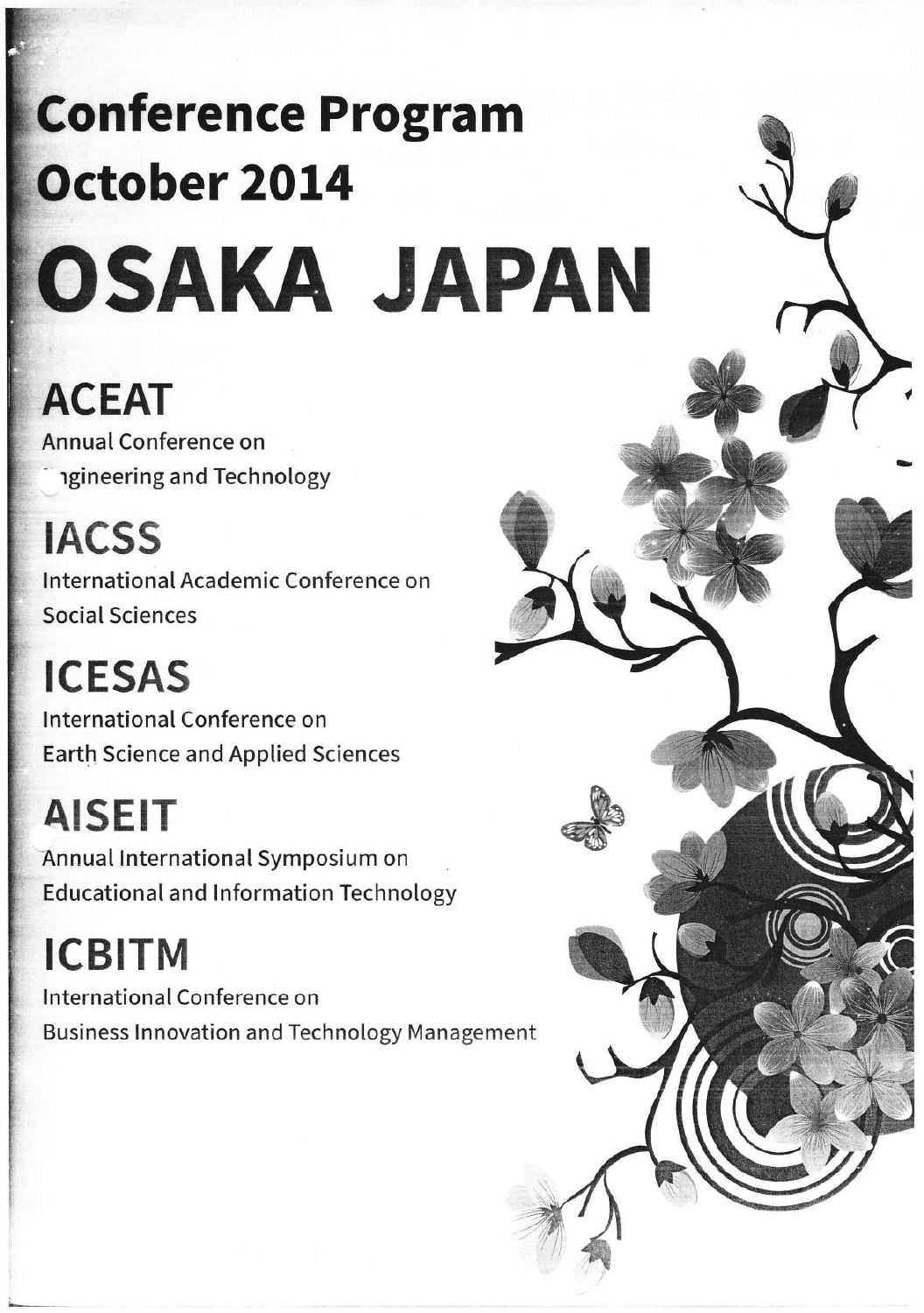# **Conference Program** October 2014 OSAKA JAPAN

# **ACEAT**

Annual Conference on **igineering and Technology** 

**IACSS** International Academic Conference on Social Sciences

**ICESAS** International Conference on **Earth Science and Applied Sciences** 

**AISEIT** Annual International Symposium on **Educational and Information Technology** 

**ICBITM** International Conference on **Business Innovation and Technology Management** 

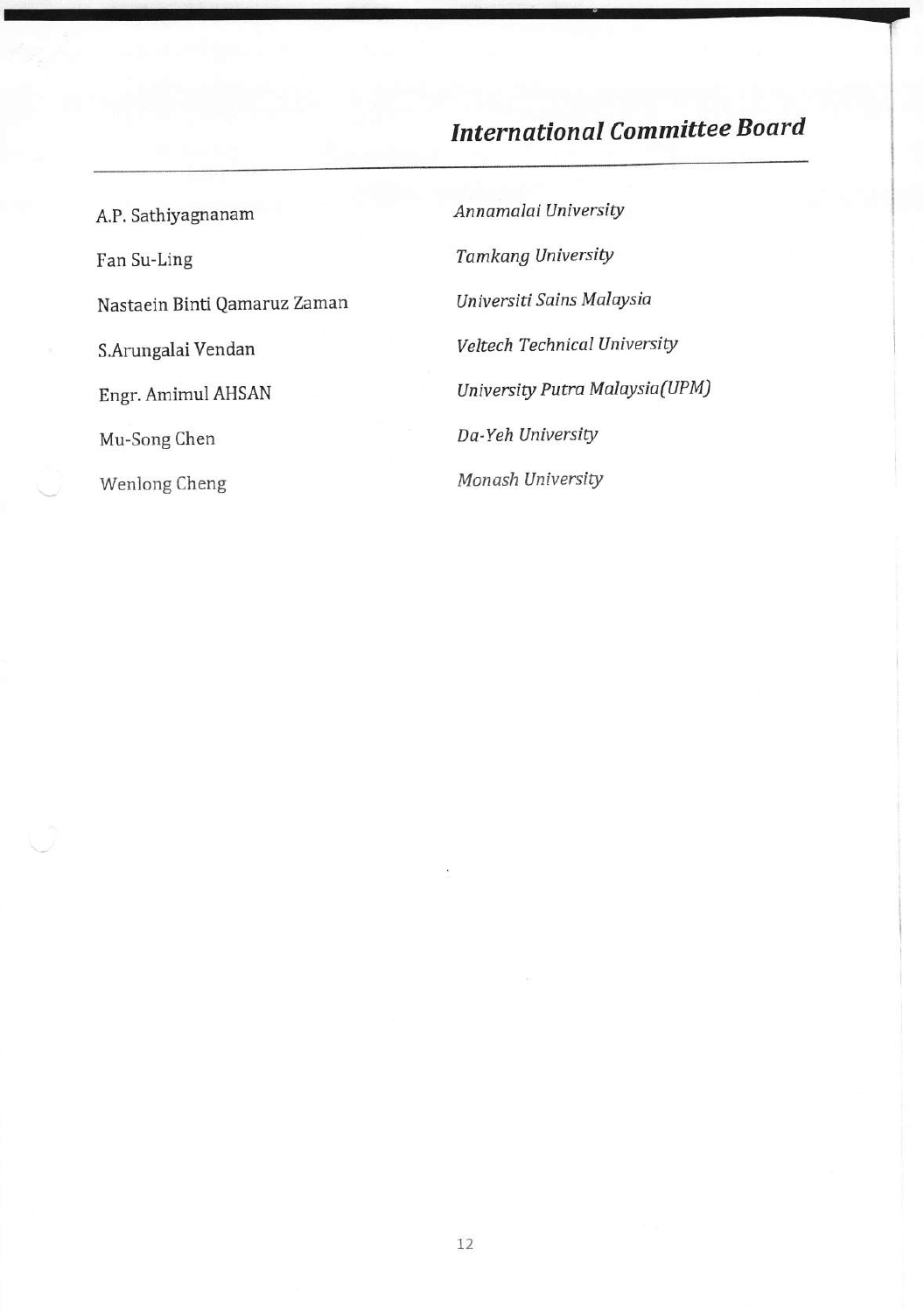# **International Committee Board**

A.P. Sathiyagnanam Fan Su-Ling Nastaein Binti Qamaruz Zaman S.Arungalai Vendan Engr. Amimul AHSAN Mu-Song Chen Wenlong Cheng

Annamalai University **Tamkang University** Universiti Sains Malaysia Veltech Technical University University Putra Malaysia(UPM) Da-Yeh University Monash University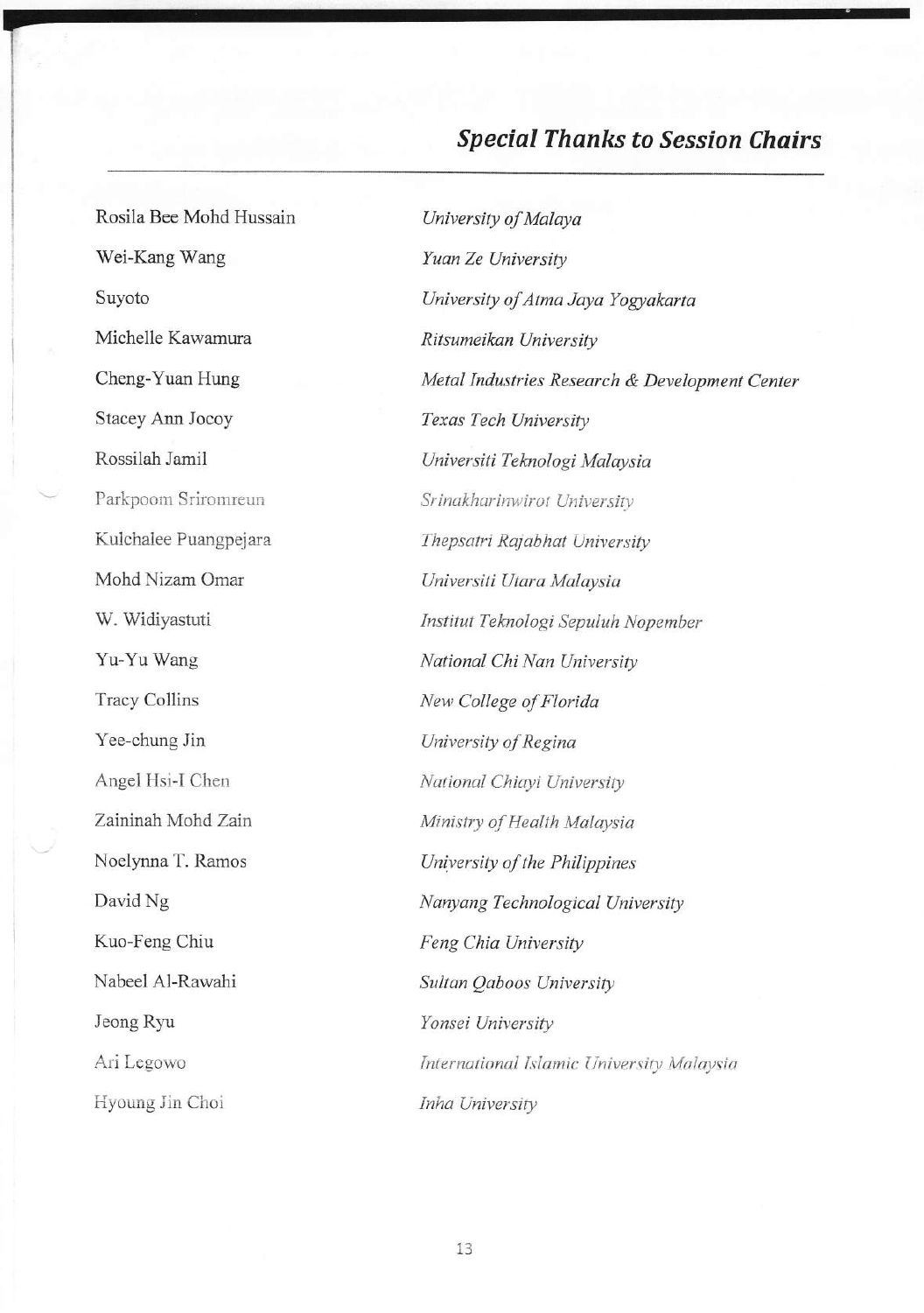# **Special Thanks to Session Chairs**

Rosila Bee Mohd Hussain Wei-Kang Wang Suyoto Michelle Kawamura Cheng-Yuan Hung Stacey Ann Jocoy Rossilah Jamil Parkpoom Sriromreun Kulchalee Puangpejara Mohd Nizam Omar W. Widiyastuti Yu-Yu Wang Tracy Collins Yee-chung Jin Angel Hsi-I Chen Zaininah Mohd Zain Noelynna T. Ramos David Ng Kuo-Feng Chiu Nabeel Al-Rawahi Jeong Ryu Ari Legowo Hyoung Jin Choi

University of Malaya Yuan Ze University University of Atma Jaya Yogyakarta Ritsumeikan University Metal Industries Research & Development Center Texas Tech University Universiti Teknologi Malaysia Srinakharinwirot University Thepsatri Rajabhat University Universiti Utara Malaysia Institut Teknologi Sepuluh Nopember National Chi Nan University New College of Florida University of Regina National Chiayi University Ministry of Health Malaysia University of the Philippines Nanyang Technological University Feng Chia University Sultan Qaboos University Yonsei University International Islamic University Malaysia Inha University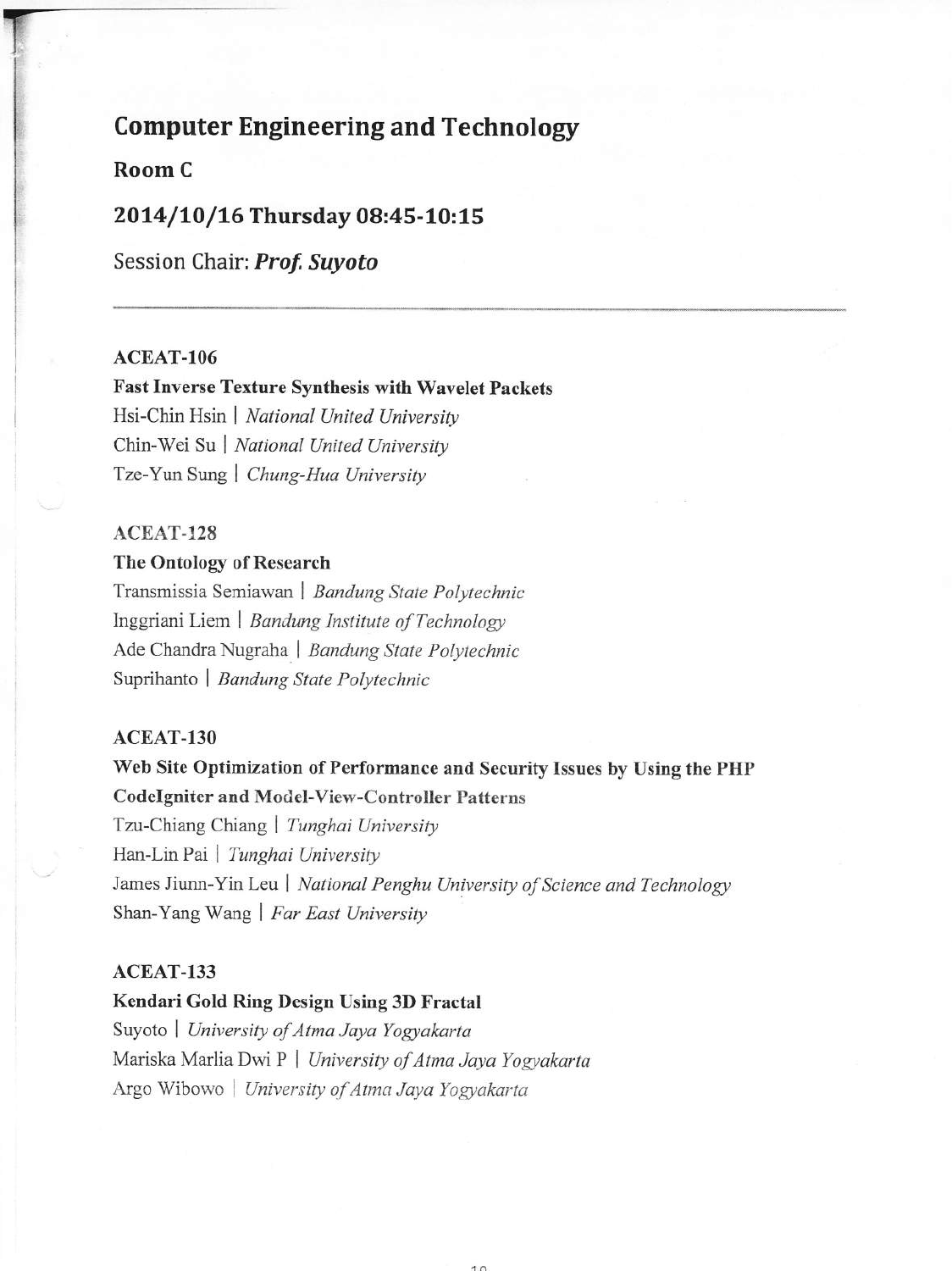# **Computer Engineering and Technology**

#### Room C

#### 2014/10/16 Thursday 08:45-10:15

Session Chair: Prof. Suyoto

#### ACEAT-106

# **Fast Inverse Texture Synthesis with Wavelet Packets**

Hsi-Chin Hsin | National United University Chin-Wei Su | National United University Tze-Yun Sung | Chung-Hua University

#### ACEAT-128

#### The Ontology of Research

Transmissia Semiawan | Bandung State Polytechnic Inggriani Liem | Bandung Institute of Technology Ade Chandra Nugraha | Bandung State Polytechnic Suprihanto | Bandung State Polytechnic

#### ACEAT-130

### Web Site Optimization of Performance and Security Issues by Using the PHP **CodeIgniter and Model-View-Controller Patterns**

Tzu-Chiang Chiang | Tunghai University Han-Lin Pai | Tunghai University James Jiunn-Yin Leu | National Penghu University of Science and Technology Shan-Yang Wang | Far East University

#### $ACEAT-133$

# Kendari Gold Ring Design Using 3D Fractal Suyoto | University of Atma Jaya Yogyakarta Mariska Marlia Dwi P | University of Atma Jaya Yogyakarta Argo Wibowo | University of Atma Jaya Yogyakarta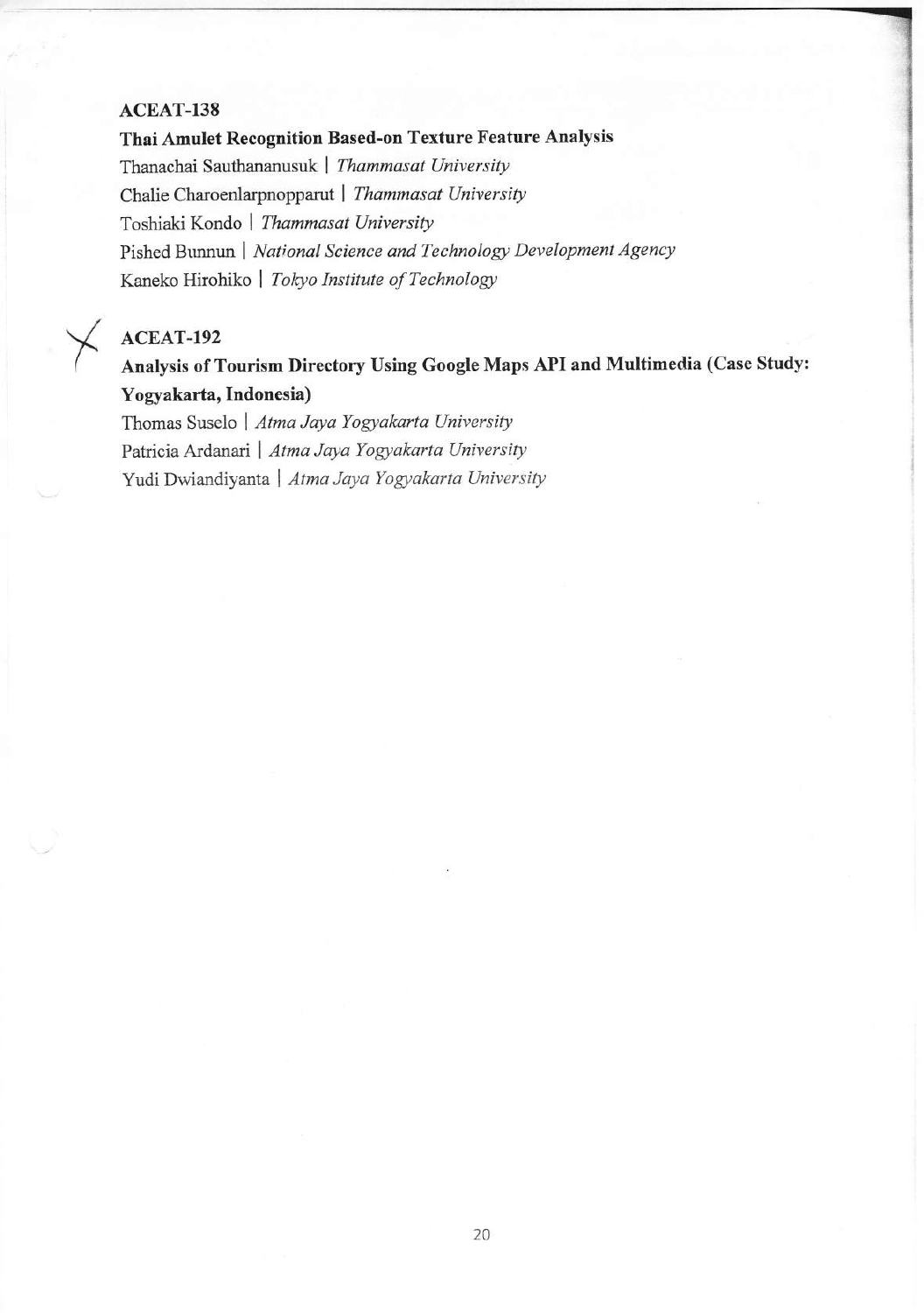#### ACEAT-138

Thai Amulet Recognition Based-on Texture Feature Analysis Thanachai Sauthananusuk | Thammasat University Chalie Charoenlarpnopparut | Thammasat University Toshiaki Kondo | Thammasat University Pished Bunnun | National Science and Technology Development Agency Kaneko Hirohiko | Tokyo Institute of Technology

#### ACEAT-192

Analysis of Tourism Directory Using Google Maps API and Multimedia (Case Study: Yogyakarta, Indonesia)

Thomas Suselo | Atma Jaya Yogyakarta University Patricia Ardanari | Atma Jaya Yogyakarta University Yudi Dwiandiyanta | Atma Jaya Yogyakarta University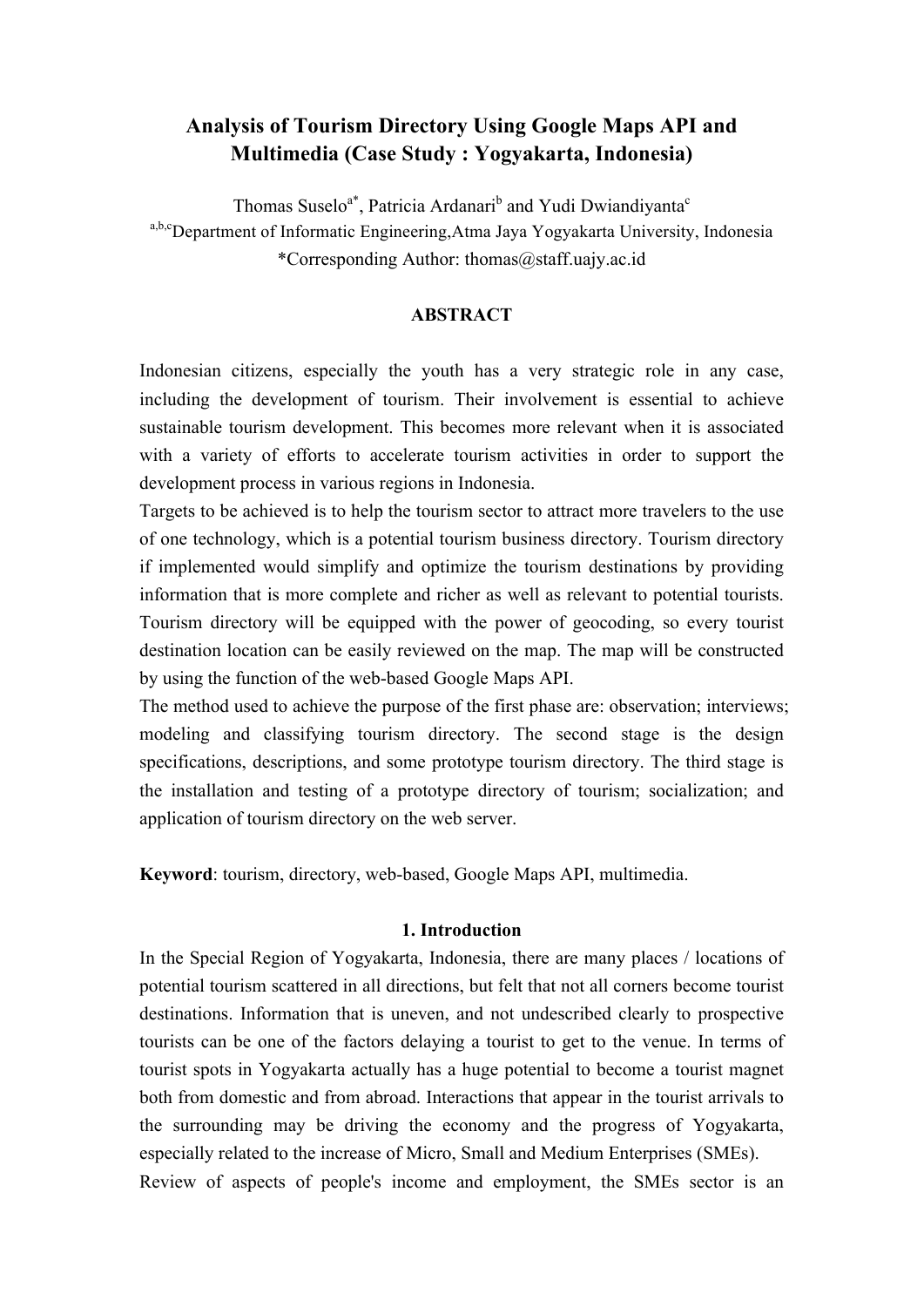## **Analysis of Tourism Directory Using Google Maps API and Multimedia (Case Study : Yogyakarta, Indonesia)**

Thomas Suselo<sup>a\*</sup>, Patricia Ardanari<sup>b</sup> and Yudi Dwiandiyanta<sup>c</sup> a,b,cDepartment of Informatic Engineering,Atma Jaya Yogyakarta University, Indonesia \*Corresponding Author: thomas@staff.uajy.ac.id

#### **ABSTRACT**

Indonesian citizens, especially the youth has a very strategic role in any case, including the development of tourism. Their involvement is essential to achieve sustainable tourism development. This becomes more relevant when it is associated with a variety of efforts to accelerate tourism activities in order to support the development process in various regions in Indonesia.

Targets to be achieved is to help the tourism sector to attract more travelers to the use of one technology, which is a potential tourism business directory. Tourism directory if implemented would simplify and optimize the tourism destinations by providing information that is more complete and richer as well as relevant to potential tourists. Tourism directory will be equipped with the power of geocoding, so every tourist destination location can be easily reviewed on the map. The map will be constructed by using the function of the web-based Google Maps API.

The method used to achieve the purpose of the first phase are: observation; interviews; modeling and classifying tourism directory. The second stage is the design specifications, descriptions, and some prototype tourism directory. The third stage is the installation and testing of a prototype directory of tourism; socialization; and application of tourism directory on the web server.

**Keyword**: tourism, directory, web-based, Google Maps API, multimedia.

#### **1. Introduction**

In the Special Region of Yogyakarta, Indonesia, there are many places / locations of potential tourism scattered in all directions, but felt that not all corners become tourist destinations. Information that is uneven, and not undescribed clearly to prospective tourists can be one of the factors delaying a tourist to get to the venue. In terms of tourist spots in Yogyakarta actually has a huge potential to become a tourist magnet both from domestic and from abroad. Interactions that appear in the tourist arrivals to the surrounding may be driving the economy and the progress of Yogyakarta, especially related to the increase of Micro, Small and Medium Enterprises (SMEs). Review of aspects of people's income and employment, the SMEs sector is an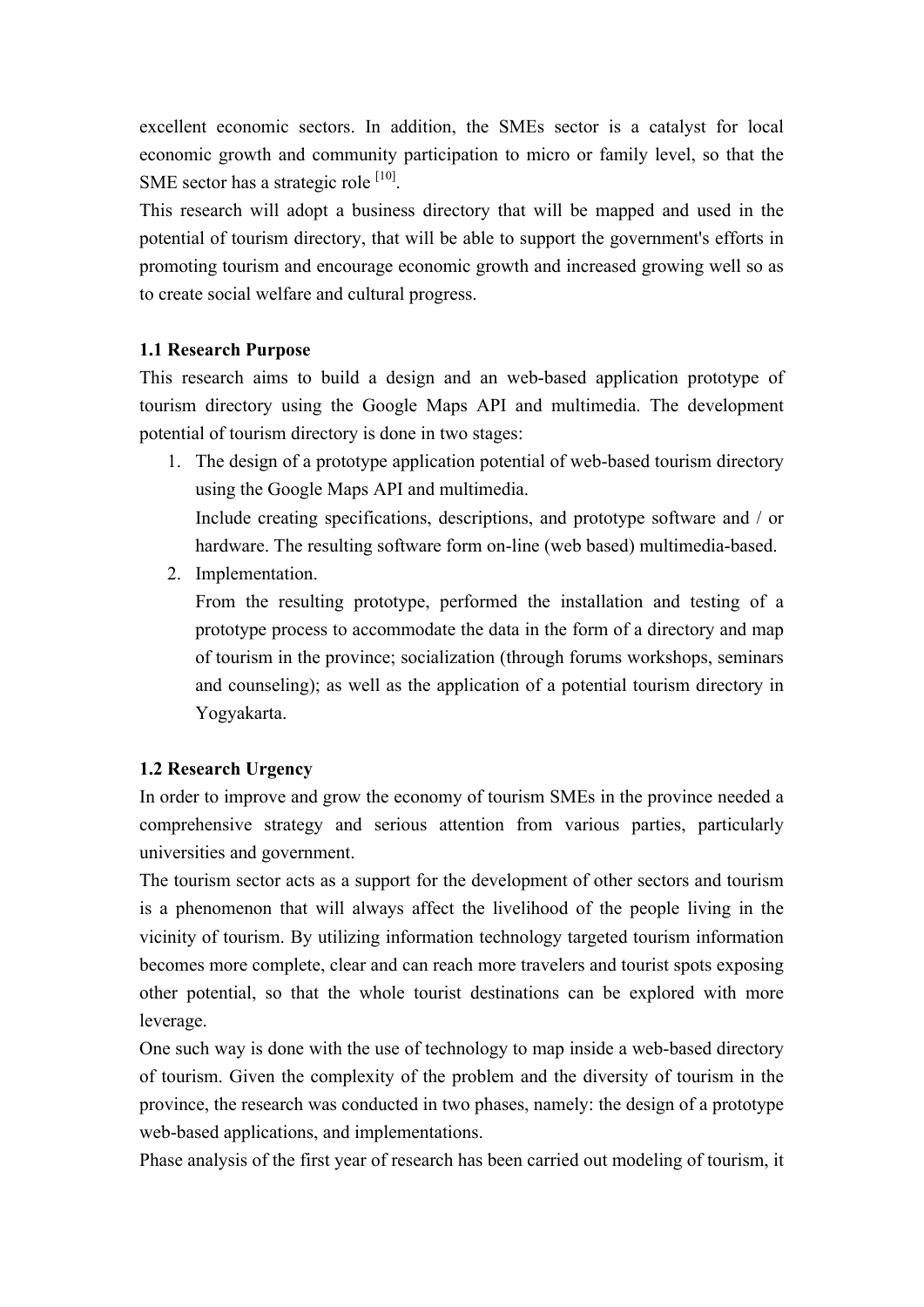excellent economic sectors. In addition, the SMEs sector is a catalyst for local economic growth and community participation to micro or family level, so that the SME sector has a strategic role <sup>[10]</sup>.

This research will adopt a business directory that will be mapped and used in the potential of tourism directory, that will be able to support the government's efforts in promoting tourism and encourage economic growth and increased growing well so as to create social welfare and cultural progress.

#### **1.1 Research Purpose**

This research aims to build a design and an web-based application prototype of tourism directory using the Google Maps API and multimedia. The development potential of tourism directory is done in two stages:

- 1. The design of a prototype application potential of web-based tourism directory using the Google Maps API and multimedia. Include creating specifications, descriptions, and prototype software and / or hardware. The resulting software form on-line (web based) multimedia-based.
- 2. Implementation.

From the resulting prototype, performed the installation and testing of a prototype process to accommodate the data in the form of a directory and map of tourism in the province; socialization (through forums workshops, seminars and counseling); as well as the application of a potential tourism directory in Yogyakarta.

#### **1.2 Research Urgency**

In order to improve and grow the economy of tourism SMEs in the province needed a comprehensive strategy and serious attention from various parties, particularly universities and government.

The tourism sector acts as a support for the development of other sectors and tourism is a phenomenon that will always affect the livelihood of the people living in the vicinity of tourism. By utilizing information technology targeted tourism information becomes more complete, clear and can reach more travelers and tourist spots exposing other potential, so that the whole tourist destinations can be explored with more leverage.

One such way is done with the use of technology to map inside a web-based directory of tourism. Given the complexity of the problem and the diversity of tourism in the province, the research was conducted in two phases, namely: the design of a prototype web-based applications, and implementations.

Phase analysis of the first year of research has been carried out modeling of tourism, it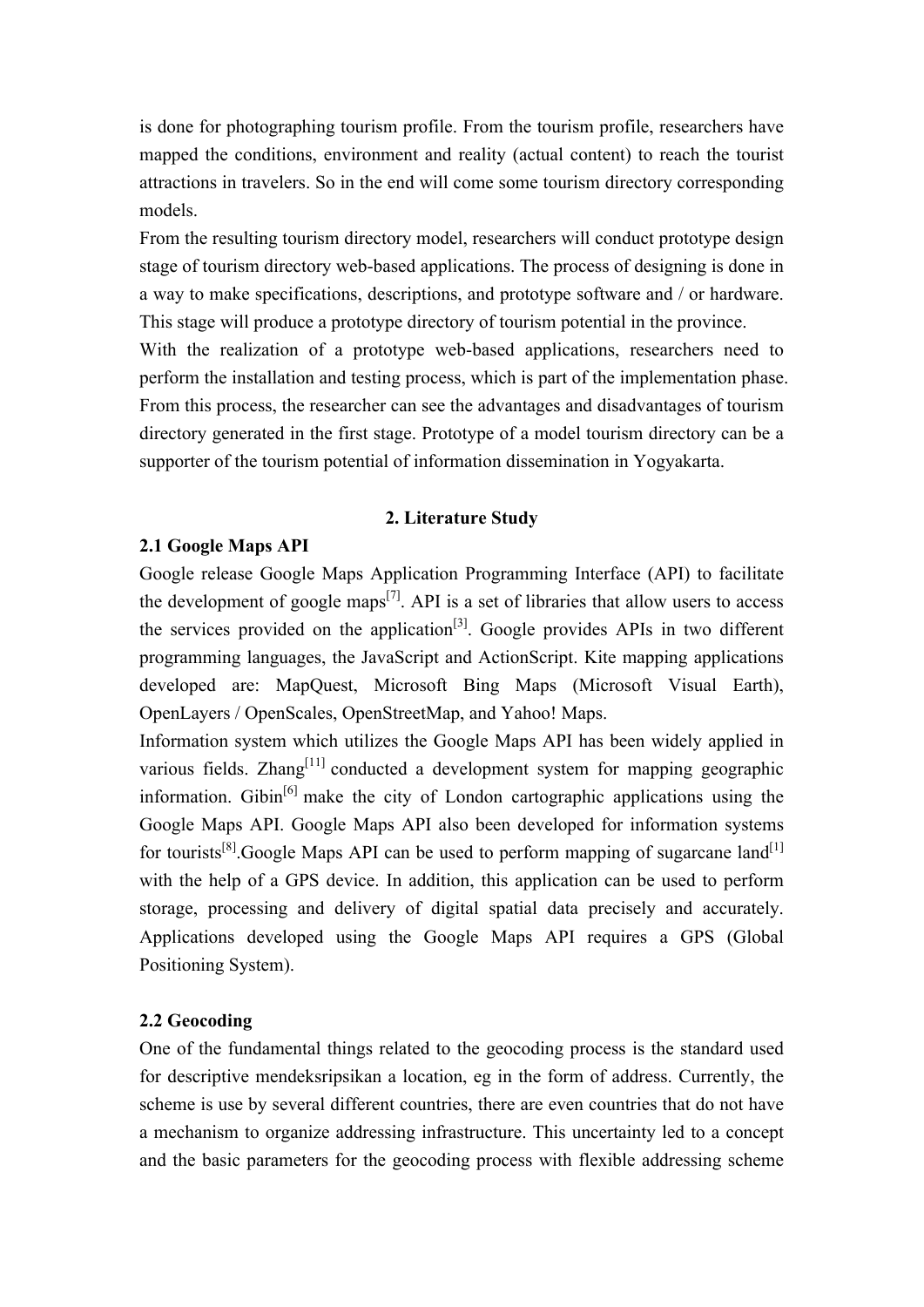is done for photographing tourism profile. From the tourism profile, researchers have mapped the conditions, environment and reality (actual content) to reach the tourist attractions in travelers. So in the end will come some tourism directory corresponding models.

From the resulting tourism directory model, researchers will conduct prototype design stage of tourism directory web-based applications. The process of designing is done in a way to make specifications, descriptions, and prototype software and / or hardware. This stage will produce a prototype directory of tourism potential in the province. With the realization of a prototype web-based applications, researchers need to perform the installation and testing process, which is part of the implementation phase. From this process, the researcher can see the advantages and disadvantages of tourism directory generated in the first stage. Prototype of a model tourism directory can be a supporter of the tourism potential of information dissemination in Yogyakarta.

#### **2. Literature Study**

#### **2.1 Google Maps API**

Google release Google Maps Application Programming Interface (API) to facilitate the development of google maps<sup>[7]</sup>. API is a set of libraries that allow users to access the services provided on the application<sup>[3]</sup>. Google provides APIs in two different programming languages, the JavaScript and ActionScript. Kite mapping applications developed are: MapQuest, Microsoft Bing Maps (Microsoft Visual Earth), OpenLayers / OpenScales, OpenStreetMap, and Yahoo! Maps.

Information system which utilizes the Google Maps API has been widely applied in various fields. Zhang<sup>[11]</sup> conducted a development system for mapping geographic information. Gibin<sup>[6]</sup> make the city of London cartographic applications using the Google Maps API. Google Maps API also been developed for information systems for tourists<sup>[8]</sup>. Google Maps API can be used to perform mapping of sugarcane land<sup>[1]</sup> with the help of a GPS device. In addition, this application can be used to perform storage, processing and delivery of digital spatial data precisely and accurately. Applications developed using the Google Maps API requires a GPS (Global Positioning System).

#### **2.2 Geocoding**

One of the fundamental things related to the geocoding process is the standard used for descriptive mendeksripsikan a location, eg in the form of address. Currently, the scheme is use by several different countries, there are even countries that do not have a mechanism to organize addressing infrastructure. This uncertainty led to a concept and the basic parameters for the geocoding process with flexible addressing scheme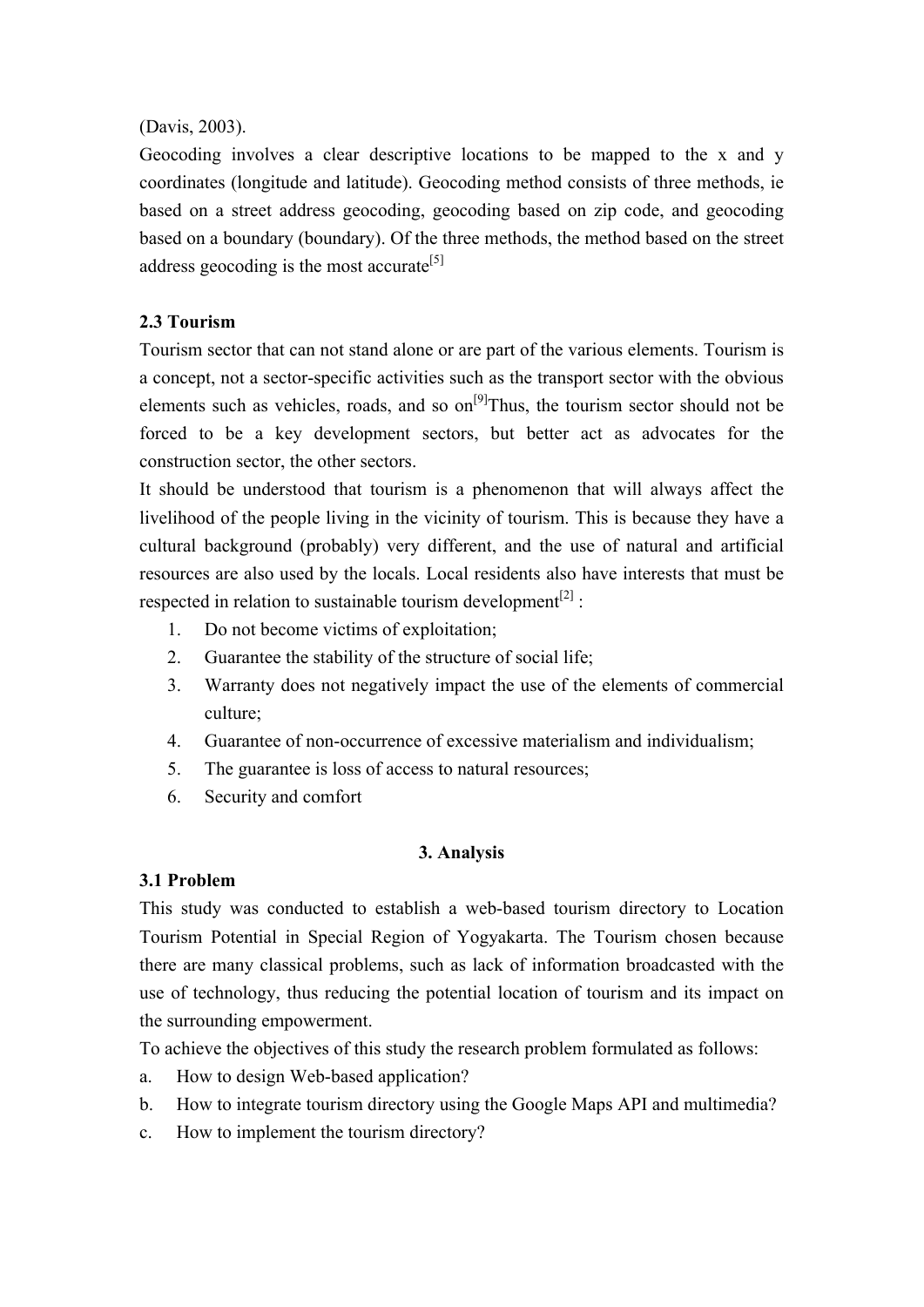#### (Davis, 2003).

Geocoding involves a clear descriptive locations to be mapped to the x and y coordinates (longitude and latitude). Geocoding method consists of three methods, ie based on a street address geocoding, geocoding based on zip code, and geocoding based on a boundary (boundary). Of the three methods, the method based on the street address geocoding is the most accurate<sup>[5]</sup>

#### **2.3 Tourism**

Tourism sector that can not stand alone or are part of the various elements. Tourism is a concept, not a sector-specific activities such as the transport sector with the obvious elements such as vehicles, roads, and so  $on^{[9]}$ Thus, the tourism sector should not be forced to be a key development sectors, but better act as advocates for the construction sector, the other sectors.

It should be understood that tourism is a phenomenon that will always affect the livelihood of the people living in the vicinity of tourism. This is because they have a cultural background (probably) very different, and the use of natural and artificial resources are also used by the locals. Local residents also have interests that must be respected in relation to sustainable tourism development<sup>[2]</sup>:

- 1. Do not become victims of exploitation;
- 2. Guarantee the stability of the structure of social life;
- 3. Warranty does not negatively impact the use of the elements of commercial culture;
- 4. Guarantee of non-occurrence of excessive materialism and individualism;
- 5. The guarantee is loss of access to natural resources;
- 6. Security and comfort

#### **3. Analysis**

#### **3.1 Problem**

This study was conducted to establish a web-based tourism directory to Location Tourism Potential in Special Region of Yogyakarta. The Tourism chosen because there are many classical problems, such as lack of information broadcasted with the use of technology, thus reducing the potential location of tourism and its impact on the surrounding empowerment.

To achieve the objectives of this study the research problem formulated as follows:

- a. How to design Web-based application?
- b. How to integrate tourism directory using the Google Maps API and multimedia?
- c. How to implement the tourism directory?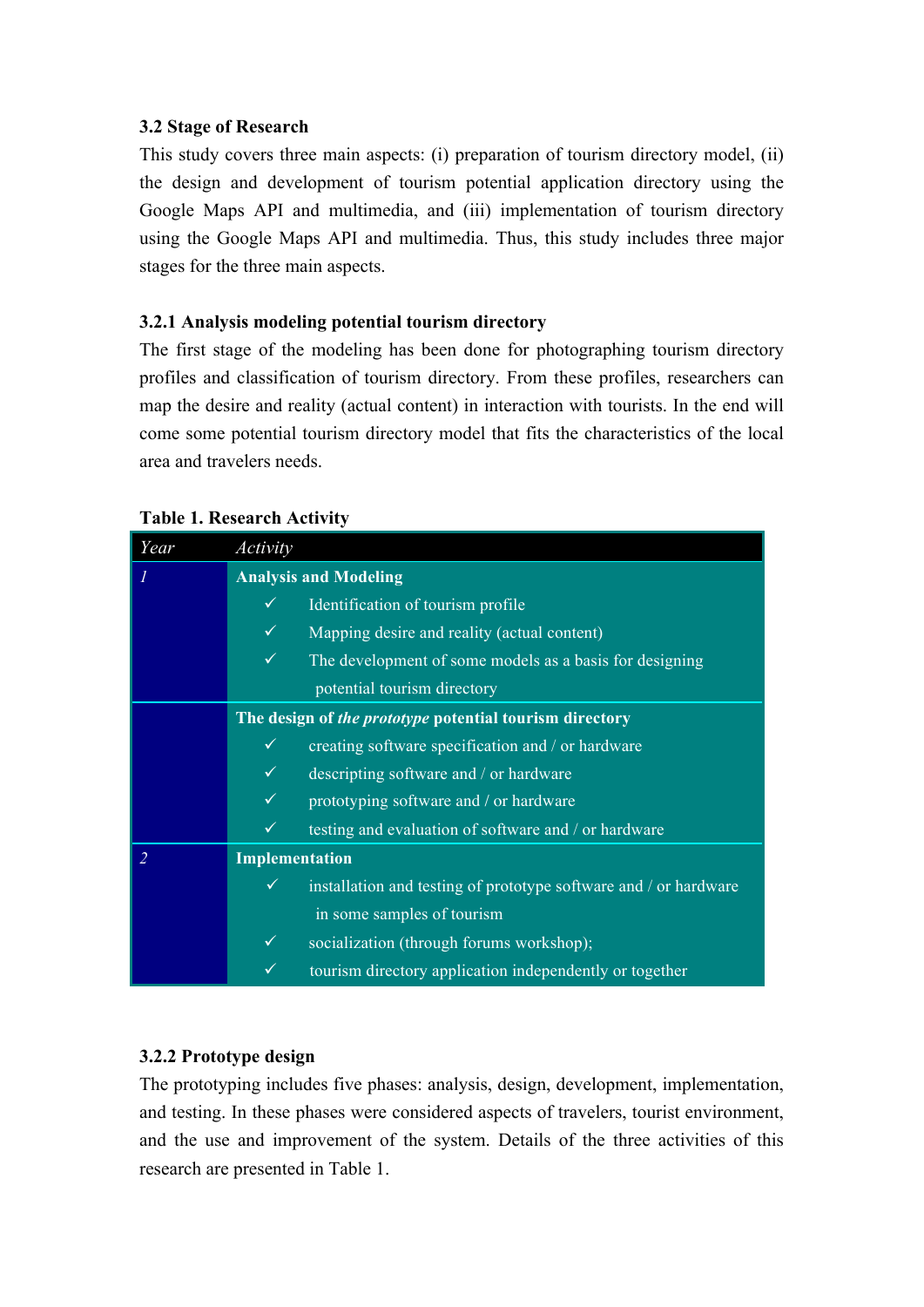#### **3.2 Stage of Research**

This study covers three main aspects: (i) preparation of tourism directory model, (ii) the design and development of tourism potential application directory using the Google Maps API and multimedia, and (iii) implementation of tourism directory using the Google Maps API and multimedia. Thus, this study includes three major stages for the three main aspects.

#### **3.2.1 Analysis modeling potential tourism directory**

The first stage of the modeling has been done for photographing tourism directory profiles and classification of tourism directory. From these profiles, researchers can map the desire and reality (actual content) in interaction with tourists. In the end will come some potential tourism directory model that fits the characteristics of the local area and travelers needs.

| Year | Activity                                                |                                                                  |
|------|---------------------------------------------------------|------------------------------------------------------------------|
|      |                                                         | <b>Analysis and Modeling</b>                                     |
|      | ✓                                                       | Identification of tourism profile                                |
|      | ✓                                                       | Mapping desire and reality (actual content)                      |
|      | $\checkmark$                                            | The development of some models as a basis for designing          |
|      |                                                         | potential tourism directory                                      |
|      | The design of the prototype potential tourism directory |                                                                  |
|      | ✓                                                       | creating software specification and / or hardware                |
|      | $\checkmark$                                            | descripting software and / or hardware                           |
|      | $\checkmark$                                            | prototyping software and / or hardware                           |
|      | ✓                                                       | testing and evaluation of software and / or hardware             |
|      | Implementation                                          |                                                                  |
|      | $\checkmark$                                            | installation and testing of prototype software and / or hardware |
|      |                                                         | in some samples of tourism                                       |
|      | ✓                                                       | socialization (through forums workshop);                         |
|      | ✓                                                       | tourism directory application independently or together          |

#### **Table 1. Research Activity**

#### **3.2.2 Prototype design**

The prototyping includes five phases: analysis, design, development, implementation, and testing. In these phases were considered aspects of travelers, tourist environment, and the use and improvement of the system. Details of the three activities of this research are presented in Table 1.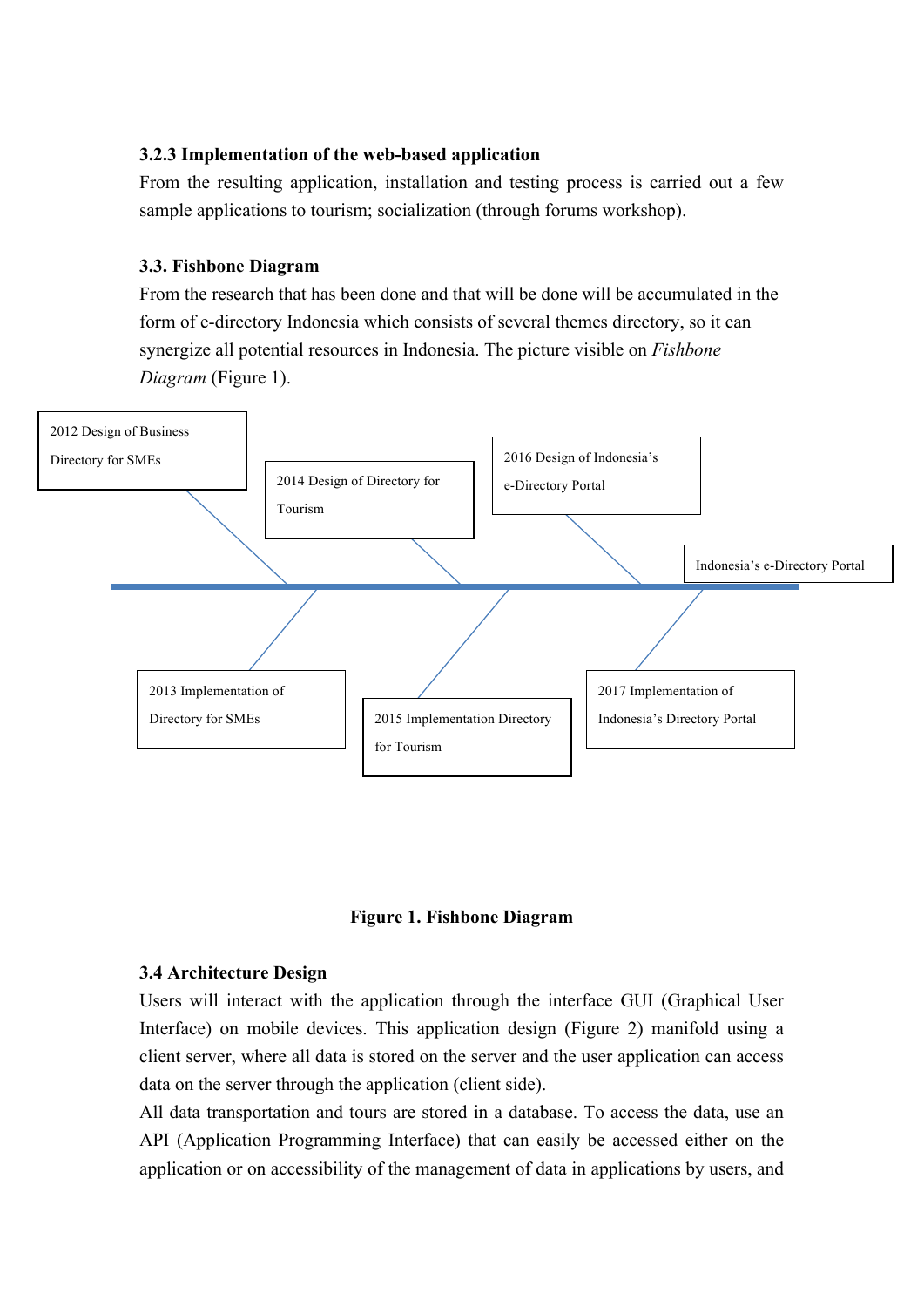#### **3.2.3 Implementation of the web-based application**

From the resulting application, installation and testing process is carried out a few sample applications to tourism; socialization (through forums workshop).

#### **3.3. Fishbone Diagram**

From the research that has been done and that will be done will be accumulated in the form of e-directory Indonesia which consists of several themes directory, so it can synergize all potential resources in Indonesia. The picture visible on *Fishbone Diagram* (Figure 1).





#### **3.4 Architecture Design**

Users will interact with the application through the interface GUI (Graphical User Interface) on mobile devices. This application design (Figure 2) manifold using a client server, where all data is stored on the server and the user application can access data on the server through the application (client side).

All data transportation and tours are stored in a database. To access the data, use an API (Application Programming Interface) that can easily be accessed either on the application or on accessibility of the management of data in applications by users, and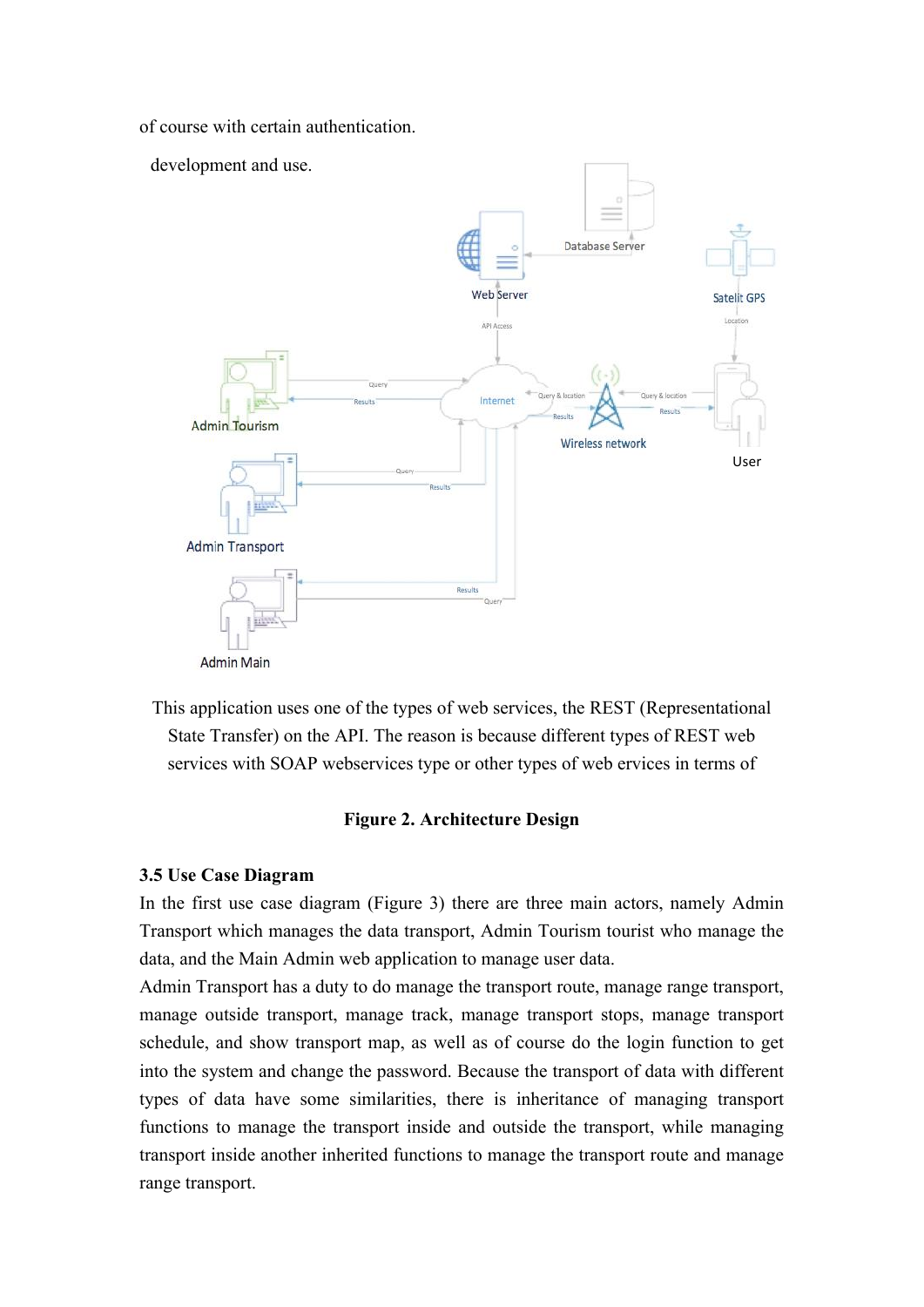of course with certain authentication.



This application uses one of the types of web services, the REST (Representational State Transfer) on the API. The reason is because different types of REST web services with SOAP webservices type or other types of web ervices in terms of

#### **Figure 2. Architecture Design**

#### **3.5 Use Case Diagram**

In the first use case diagram (Figure 3) there are three main actors, namely Admin Transport which manages the data transport, Admin Tourism tourist who manage the data, and the Main Admin web application to manage user data.

Admin Transport has a duty to do manage the transport route, manage range transport, manage outside transport, manage track, manage transport stops, manage transport schedule, and show transport map, as well as of course do the login function to get into the system and change the password. Because the transport of data with different types of data have some similarities, there is inheritance of managing transport functions to manage the transport inside and outside the transport, while managing transport inside another inherited functions to manage the transport route and manage range transport.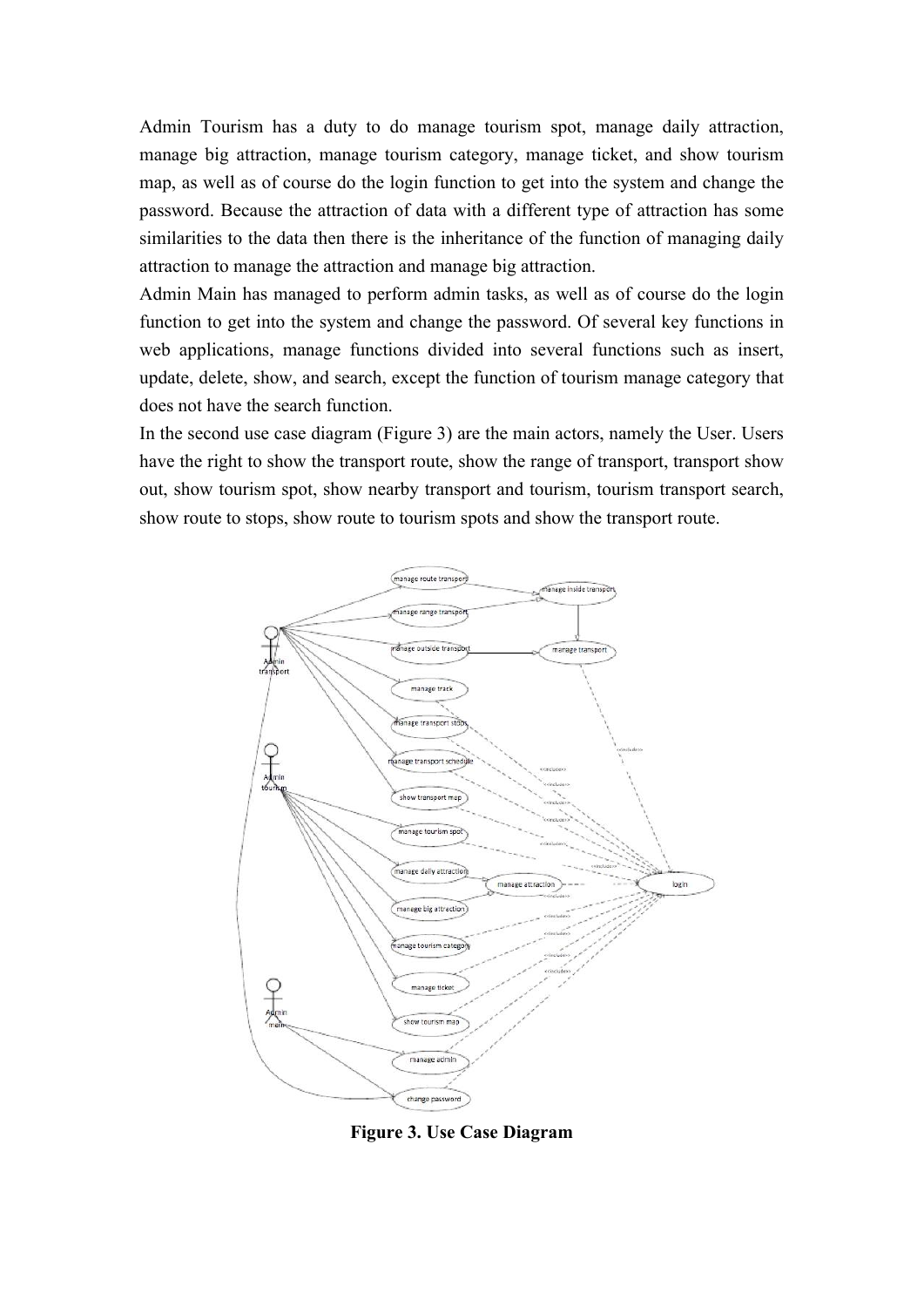Admin Tourism has a duty to do manage tourism spot, manage daily attraction, manage big attraction, manage tourism category, manage ticket, and show tourism map, as well as of course do the login function to get into the system and change the password. Because the attraction of data with a different type of attraction has some similarities to the data then there is the inheritance of the function of managing daily attraction to manage the attraction and manage big attraction.

Admin Main has managed to perform admin tasks, as well as of course do the login function to get into the system and change the password. Of several key functions in web applications, manage functions divided into several functions such as insert, update, delete, show, and search, except the function of tourism manage category that does not have the search function.

In the second use case diagram (Figure 3) are the main actors, namely the User. Users have the right to show the transport route, show the range of transport, transport show out, show tourism spot, show nearby transport and tourism, tourism transport search, show route to stops, show route to tourism spots and show the transport route.



**Figure 3. Use Case Diagram**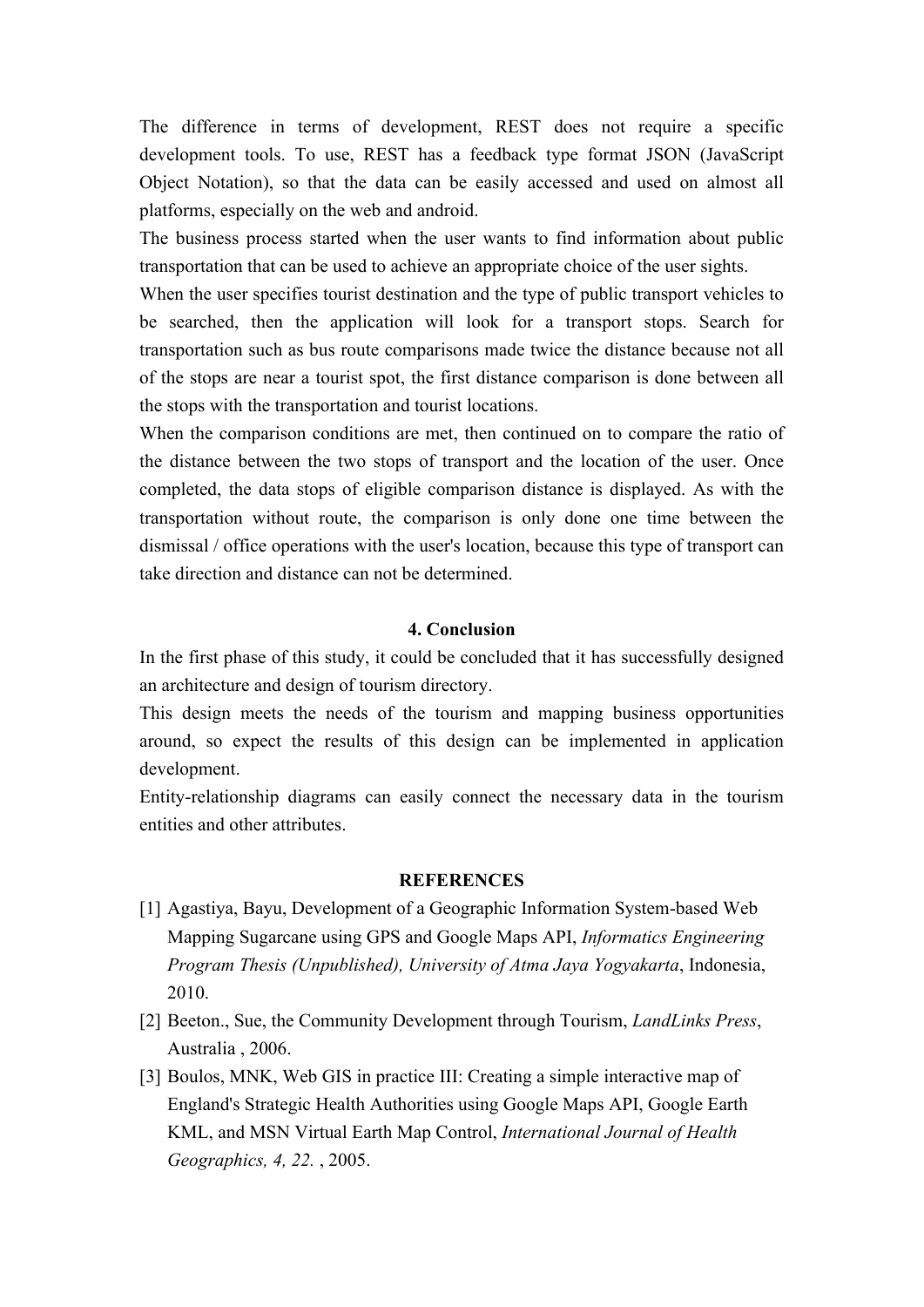The difference in terms of development, REST does not require a specific development tools. To use, REST has a feedback type format JSON (JavaScript Object Notation), so that the data can be easily accessed and used on almost all platforms, especially on the web and android.

The business process started when the user wants to find information about public transportation that can be used to achieve an appropriate choice of the user sights.

When the user specifies tourist destination and the type of public transport vehicles to be searched, then the application will look for a transport stops. Search for transportation such as bus route comparisons made twice the distance because not all of the stops are near a tourist spot, the first distance comparison is done between all the stops with the transportation and tourist locations.

When the comparison conditions are met, then continued on to compare the ratio of the distance between the two stops of transport and the location of the user. Once completed, the data stops of eligible comparison distance is displayed. As with the transportation without route, the comparison is only done one time between the dismissal / office operations with the user's location, because this type of transport can take direction and distance can not be determined.

#### **4. Conclusion**

In the first phase of this study, it could be concluded that it has successfully designed an architecture and design of tourism directory.

This design meets the needs of the tourism and mapping business opportunities around, so expect the results of this design can be implemented in application development.

Entity-relationship diagrams can easily connect the necessary data in the tourism entities and other attributes.

#### **REFERENCES**

- [1] Agastiya, Bayu, Development of a Geographic Information System-based Web Mapping Sugarcane using GPS and Google Maps API, *Informatics Engineering Program Thesis (Unpublished), University of Atma Jaya Yogyakarta*, Indonesia, 2010.
- [2] Beeton., Sue, the Community Development through Tourism, *LandLinks Press*, Australia , 2006.
- [3] Boulos, MNK, Web GIS in practice III: Creating a simple interactive map of England's Strategic Health Authorities using Google Maps API, Google Earth KML, and MSN Virtual Earth Map Control, *International Journal of Health Geographics, 4, 22.* , 2005.